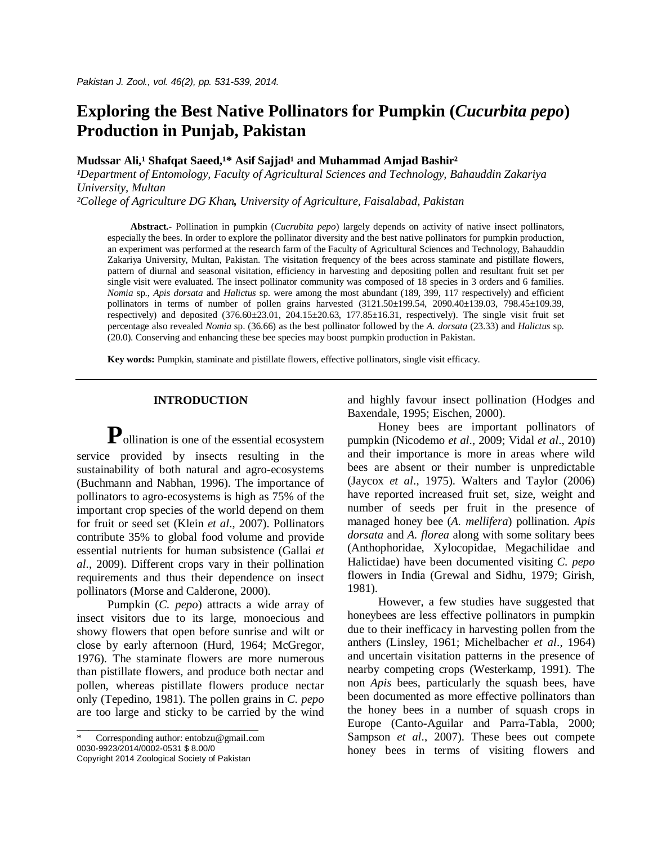# **Exploring the Best Native Pollinators for Pumpkin (***Cucurbita pepo***) Production in Punjab, Pakistan**

Mudssar Ali,<sup>1</sup> Shafqat Saeed,<sup>1\*</sup> Asif Sajjad<sup>1</sup> and Muhammad Amjad Bashir<sup>2</sup>

*¹Department of Entomology, Faculty of Agricultural Sciences and Technology, Bahauddin Zakariya University, Multan*

*²College of Agriculture DG Khan, University of Agriculture, Faisalabad, Pakistan*

**Abstract.-** Pollination in pumpkin (*Cucrubita pepo*) largely depends on activity of native insect pollinators, especially the bees. In order to explore the pollinator diversity and the best native pollinators for pumpkin production, an experiment was performed at the research farm of the Faculty of Agricultural Sciences and Technology, Bahauddin Zakariya University, Multan, Pakistan. The visitation frequency of the bees across staminate and pistillate flowers, pattern of diurnal and seasonal visitation, efficiency in harvesting and depositing pollen and resultant fruit set per single visit were evaluated. The insect pollinator community was composed of 18 species in 3 orders and 6 families. *Nomia* sp., *Apis dorsata* and *Halictus* sp. were among the most abundant (189, 399, 117 respectively) and efficient pollinators in terms of number of pollen grains harvested  $(3121.50\pm199.54, 2090.40\pm139.03, 798.45\pm109.39,$ respectively) and deposited  $(376.60\pm23.01, 204.15\pm20.63, 177.85\pm16.31,$  respectively). The single visit fruit set percentage also revealed *Nomia* sp. (36.66) as the best pollinator followed by the *A. dorsata* (23.33) and *Halictus* sp. (20.0). Conserving and enhancing these bee species may boost pumpkin production in Pakistan.

**Key words:** Pumpkin, staminate and pistillate flowers, effective pollinators, single visit efficacy.

# **INTRODUCTION**

**P**ollination is one of the essential ecosystem service provided by insects resulting in the sustainability of both natural and agro-ecosystems (Buchmann and Nabhan, 1996). The importance of pollinators to agro-ecosystems is high as 75% of the important crop species of the world depend on them for fruit or seed set (Klein *et al*., 2007). Pollinators contribute 35% to global food volume and provide essential nutrients for human subsistence (Gallai *et al*., 2009). Different crops vary in their pollination requirements and thus their dependence on insect pollinators (Morse and Calderone, 2000).

Pumpkin (*C. pepo*) attracts a wide array of insect visitors due to its large, monoecious and showy flowers that open before sunrise and wilt or close by early afternoon (Hurd, 1964; McGregor, 1976). The staminate flowers are more numerous than pistillate flowers, and produce both nectar and pollen, whereas pistillate flowers produce nectar only (Tepedino, 1981). The pollen grains in *C. pepo* are too large and sticky to be carried by the wind

\_\_\_\_\_\_\_\_\_\_\_\_\_\_\_\_\_\_\_\_\_\_\_\_\_\_\_\_\_\_\_

and highly favour insect pollination (Hodges and Baxendale, 1995; Eischen, 2000).

Honey bees are important pollinators of pumpkin (Nicodemo *et al*., 2009; Vidal *et al*., 2010) and their importance is more in areas where wild bees are absent or their number is unpredictable (Jaycox *et al*., 1975). Walters and Taylor (2006) have reported increased fruit set, size, weight and number of seeds per fruit in the presence of managed honey bee (*A. mellifera*) pollination. *Apis dorsata* and *A. florea* along with some solitary bees (Anthophoridae, Xylocopidae, Megachilidae and Halictidae) have been documented visiting *C. pepo*  flowers in India (Grewal and Sidhu, 1979; Girish, 1981).

However, a few studies have suggested that honeybees are less effective pollinators in pumpkin due to their inefficacy in harvesting pollen from the anthers (Linsley, 1961; Michelbacher *et al*., 1964) and uncertain visitation patterns in the presence of nearby competing crops (Westerkamp, 1991). The non *Apis* bees, particularly the squash bees, have been documented as more effective pollinators than the honey bees in a number of squash crops in Europe (Canto-Aguilar and Parra-Tabla, 2000; Sampson *et al*., 2007). These bees out compete honey bees in terms of visiting flowers and

Corresponding author: entobzu@gmail.com 0030-9923/2014/0002-0531 \$ 8.00/0 Copyright 2014 Zoological Society of Pakistan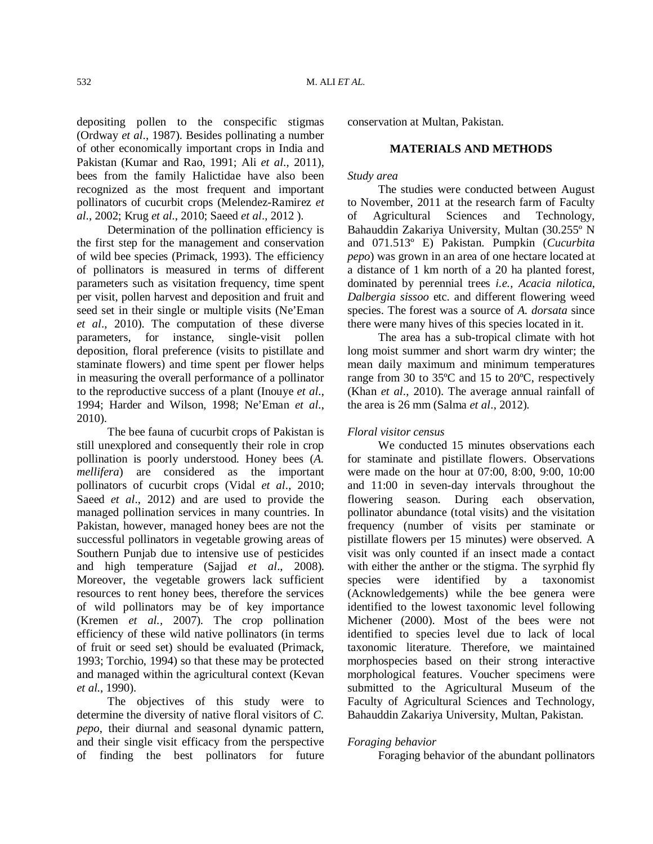depositing pollen to the conspecific stigmas (Ordway *et al*., 1987). Besides pollinating a number of other economically important crops in India and Pakistan (Kumar and Rao, 1991; Ali *et al*., 2011), bees from the family Halictidae have also been recognized as the most frequent and important pollinators of cucurbit crops (Melendez-Ramirez *et al*., 2002; Krug *et al*., 2010; Saeed *et al*., 2012 ).

Determination of the pollination efficiency is the first step for the management and conservation of wild bee species (Primack, 1993). The efficiency of pollinators is measured in terms of different parameters such as visitation frequency, time spent per visit, pollen harvest and deposition and fruit and seed set in their single or multiple visits (Ne'Eman *et al*., 2010). The computation of these diverse parameters, for instance, single-visit pollen deposition, floral preference (visits to pistillate and staminate flowers) and time spent per flower helps in measuring the overall performance of a pollinator to the reproductive success of a plant (Inouye *et al*., 1994; Harder and Wilson, 1998; Ne'Eman *et al*., 2010).

The bee fauna of cucurbit crops of Pakistan is still unexplored and consequently their role in crop pollination is poorly understood. Honey bees (*A. mellifera*) are considered as the important pollinators of cucurbit crops (Vidal *et al*., 2010; Saeed *et al*., 2012) and are used to provide the managed pollination services in many countries. In Pakistan, however, managed honey bees are not the successful pollinators in vegetable growing areas of Southern Punjab due to intensive use of pesticides and high temperature (Sajjad *et al*., 2008). Moreover, the vegetable growers lack sufficient resources to rent honey bees, therefore the services of wild pollinators may be of key importance (Kremen *et al.,* 2007). The crop pollination efficiency of these wild native pollinators (in terms of fruit or seed set) should be evaluated (Primack, 1993; Torchio, 1994) so that these may be protected and managed within the agricultural context (Kevan *et al.*, 1990).

The objectives of this study were to determine the diversity of native floral visitors of *C. pepo*, their diurnal and seasonal dynamic pattern, and their single visit efficacy from the perspective of finding the best pollinators for future conservation at Multan, Pakistan.

# **MATERIALS AND METHODS**

# *Study area*

The studies were conducted between August to November, 2011 at the research farm of Faculty of Agricultural Sciences and Technology, Bahauddin Zakariya University, Multan (30.255º N and 071.513º E) Pakistan. Pumpkin (*Cucurbita pepo*) was grown in an area of one hectare located at a distance of 1 km north of a 20 ha planted forest, dominated by perennial trees *i.e., Acacia nilotica*, *Dalbergia sissoo* etc. and different flowering weed species. The forest was a source of *A. dorsata* since there were many hives of this species located in it.

The area has a sub-tropical climate with hot long moist summer and short warm dry winter; the mean daily maximum and minimum temperatures range from 30 to 35ºC and 15 to 20ºC, respectively (Khan *et al*., 2010). The average annual rainfall of the area is 26 mm (Salma *et al*., 2012).

## *Floral visitor census*

We conducted 15 minutes observations each for staminate and pistillate flowers. Observations were made on the hour at 07:00, 8:00, 9:00, 10:00 and 11:00 in seven-day intervals throughout the flowering season. During each observation, pollinator abundance (total visits) and the visitation frequency (number of visits per staminate or pistillate flowers per 15 minutes) were observed. A visit was only counted if an insect made a contact with either the anther or the stigma. The syrphid fly species were identified by a taxonomist (Acknowledgements) while the bee genera were identified to the lowest taxonomic level following Michener (2000). Most of the bees were not identified to species level due to lack of local taxonomic literature. Therefore, we maintained morphospecies based on their strong interactive morphological features. Voucher specimens were submitted to the Agricultural Museum of the Faculty of Agricultural Sciences and Technology, Bahauddin Zakariya University, Multan, Pakistan.

## *Foraging behavior*

Foraging behavior of the abundant pollinators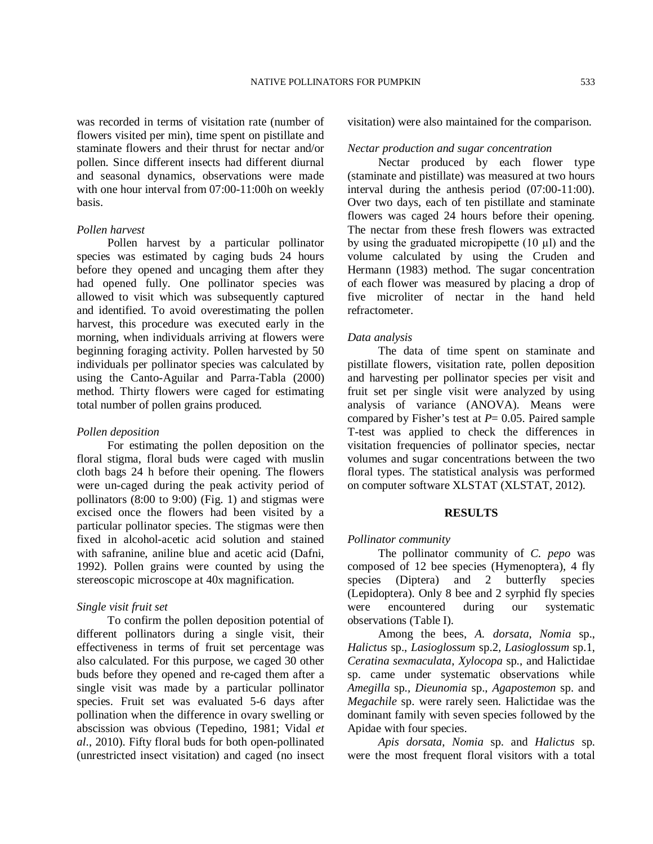was recorded in terms of visitation rate (number of flowers visited per min), time spent on pistillate and staminate flowers and their thrust for nectar and/or pollen. Since different insects had different diurnal and seasonal dynamics, observations were made with one hour interval from 07:00-11:00h on weekly

#### *Pollen harvest*

basis.

Pollen harvest by a particular pollinator species was estimated by caging buds 24 hours before they opened and uncaging them after they had opened fully. One pollinator species was allowed to visit which was subsequently captured and identified. To avoid overestimating the pollen harvest, this procedure was executed early in the morning, when individuals arriving at flowers were beginning foraging activity. Pollen harvested by 50 individuals per pollinator species was calculated by using the Canto-Aguilar and Parra-Tabla (2000) method. Thirty flowers were caged for estimating total number of pollen grains produced*.*

#### *Pollen deposition*

For estimating the pollen deposition on the floral stigma, floral buds were caged with muslin cloth bags 24 h before their opening. The flowers were un-caged during the peak activity period of pollinators (8:00 to 9:00) (Fig. 1) and stigmas were excised once the flowers had been visited by a particular pollinator species. The stigmas were then fixed in alcohol-acetic acid solution and stained with safranine, aniline blue and acetic acid (Dafni, 1992). Pollen grains were counted by using the stereoscopic microscope at 40x magnification.

#### *Single visit fruit set*

To confirm the pollen deposition potential of different pollinators during a single visit, their effectiveness in terms of fruit set percentage was also calculated. For this purpose, we caged 30 other buds before they opened and re-caged them after a single visit was made by a particular pollinator species. Fruit set was evaluated 5-6 days after pollination when the difference in ovary swelling or abscission was obvious (Tepedino, 1981; Vidal *et al*., 2010). Fifty floral buds for both open-pollinated (unrestricted insect visitation) and caged (no insect visitation) were also maintained for the comparison.

#### *Nectar production and sugar concentration*

Nectar produced by each flower type (staminate and pistillate) was measured at two hours interval during the anthesis period (07:00-11:00). Over two days, each of ten pistillate and staminate flowers was caged 24 hours before their opening. The nectar from these fresh flowers was extracted by using the graduated micropipette (10 µl) and the volume calculated by using the Cruden and Hermann (1983) method. The sugar concentration of each flower was measured by placing a drop of five microliter of nectar in the hand held refractometer.

#### *Data analysis*

The data of time spent on staminate and pistillate flowers, visitation rate, pollen deposition and harvesting per pollinator species per visit and fruit set per single visit were analyzed by using analysis of variance (ANOVA). Means were compared by Fisher's test at  $P = 0.05$ . Paired sample T-test was applied to check the differences in visitation frequencies of pollinator species, nectar volumes and sugar concentrations between the two floral types. The statistical analysis was performed on computer software XLSTAT (XLSTAT, 2012).

### **RESULTS**

#### *Pollinator community*

The pollinator community of *C. pepo* was composed of 12 bee species (Hymenoptera), 4 fly species (Diptera) and 2 butterfly species (Lepidoptera). Only 8 bee and 2 syrphid fly species were encountered during our systematic observations (Table I).

Among the bees, *A. dorsata*, *Nomia* sp., *Halictus* sp., *Lasioglossum* sp.2*, Lasioglossum* sp.1, *Ceratina sexmaculata*, *Xylocopa* sp., and Halictidae sp. came under systematic observations while *Amegilla* sp*., Dieunomia* sp., *Agapostemon* sp. and *Megachile* sp. were rarely seen. Halictidae was the dominant family with seven species followed by the Apidae with four species.

*Apis dorsata*, *Nomia* sp. and *Halictus* sp. were the most frequent floral visitors with a total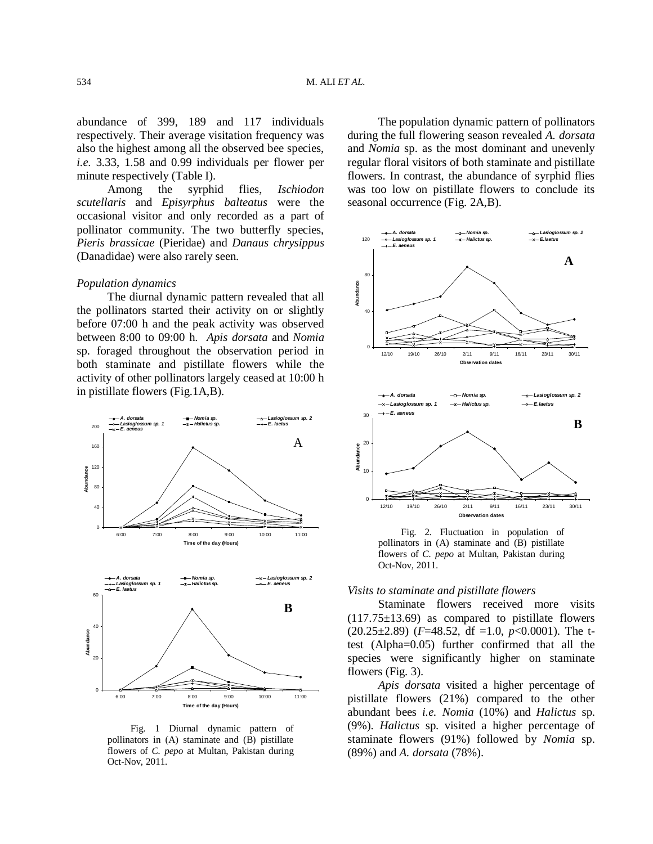abundance of 399, 189 and 117 individuals respectively. Their average visitation frequency was also the highest among all the observed bee species, *i.e.* 3.33, 1.58 and 0.99 individuals per flower per minute respectively (Table I).

Among the syrphid flies, *Ischiodon scutellaris* and *Episyrphus balteatus* were the occasional visitor and only recorded as a part of pollinator community. The two butterfly species, *Pieris brassicae* (Pieridae) and *Danaus chrysippus* (Danadidae) were also rarely seen.

#### *Population dynamics*

The diurnal dynamic pattern revealed that all the pollinators started their activity on or slightly before 07:00 h and the peak activity was observed between 8:00 to 09:00 h. *Apis dorsata* and *Nomia*  sp. foraged throughout the observation period in both staminate and pistillate flowers while the activity of other pollinators largely ceased at 10:00 h in pistillate flowers (Fig.1A,B).



Fig. 1 Diurnal dynamic pattern of pollinators in (A) staminate and (B) pistillate flowers of *C. pepo* at Multan, Pakistan during Oct-Nov, 2011.

The population dynamic pattern of pollinators during the full flowering season revealed *A. dorsata* and *Nomia* sp. as the most dominant and unevenly regular floral visitors of both staminate and pistillate flowers. In contrast, the abundance of syrphid flies was too low on pistillate flowers to conclude its seasonal occurrence (Fig. 2A,B).



Fig. 2. Fluctuation in population of pollinators in (A) staminate and (B) pistillate flowers of *C. pepo* at Multan, Pakistan during Oct-Nov, 2011.

# *Visits to staminate and pistillate flowers*

Staminate flowers received more visits  $(117.75\pm13.69)$  as compared to pistillate flowers (20.25±2.89) (*F*=48.52, df =1.0, *p*<0.0001). The ttest (Alpha=0.05) further confirmed that all the species were significantly higher on staminate flowers (Fig. 3).

*Apis dorsata* visited a higher percentage of pistillate flowers (21%) compared to the other abundant bees *i.e. Nomia* (10%) and *Halictus* sp. (9%). *Halictus* sp. visited a higher percentage of staminate flowers (91%) followed by *Nomia* sp. (89%) and *A. dorsata* (78%).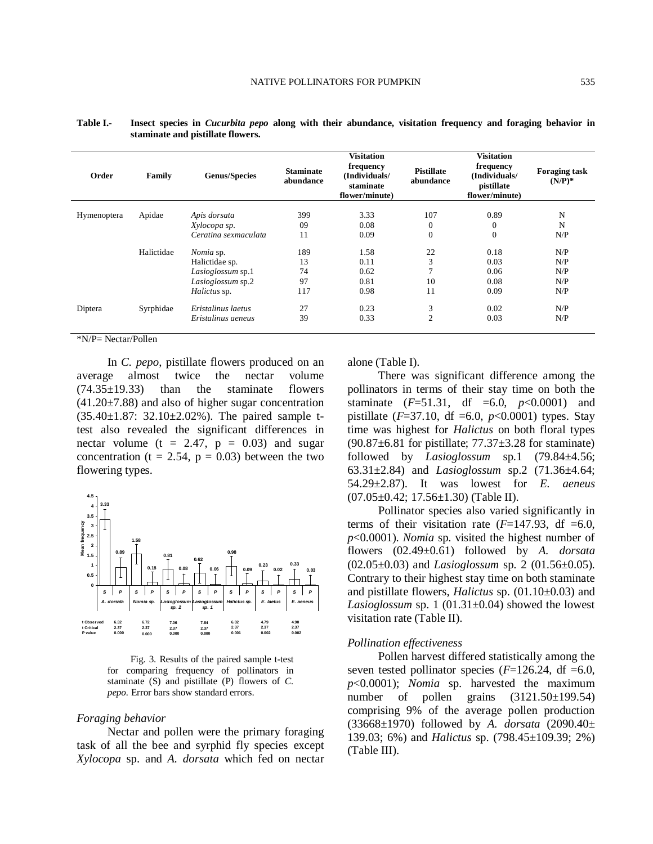| Order       | Family     | <b>Genus/Species</b> | <b>Staminate</b><br>abundance | <b>Visitation</b><br>frequency<br>(Individuals/<br>staminate<br>flower/minute) | <b>Pistillate</b><br>abundance | <b>Visitation</b><br>frequency<br>(Individuals/<br>pistillate<br>flower/minute) | <b>Foraging task</b><br>$(N/P)^*$ |
|-------------|------------|----------------------|-------------------------------|--------------------------------------------------------------------------------|--------------------------------|---------------------------------------------------------------------------------|-----------------------------------|
| Hymenoptera | Apidae     | Apis dorsata         | 399                           | 3.33                                                                           | 107                            | 0.89                                                                            | N                                 |
|             |            | Xylocopa sp.         | 09                            | 0.08                                                                           | $\mathbf{0}$                   | $\theta$                                                                        | N                                 |
|             |            | Ceratina sexmaculata | 11                            | 0.09                                                                           | $\mathbf{0}$                   | $\theta$                                                                        | N/P                               |
|             | Halictidae | Nomia sp.            | 189                           | 1.58                                                                           | 22                             | 0.18                                                                            | N/P                               |
|             |            | Halictidae sp.       | 13                            | 0.11                                                                           | 3                              | 0.03                                                                            | N/P                               |
|             |            | Lasioglossum sp.1    | 74                            | 0.62                                                                           |                                | 0.06                                                                            | N/P                               |
|             |            | Lasioglossum sp.2    | 97                            | 0.81                                                                           | 10                             | 0.08                                                                            | N/P                               |
|             |            | Halictus sp.         | 117                           | 0.98                                                                           | 11                             | 0.09                                                                            | N/P                               |
| Diptera     | Syrphidae  | Eristalinus laetus   | 27                            | 0.23                                                                           | 3                              | 0.02                                                                            | N/P                               |
|             |            | Eristalinus aeneus   | 39                            | 0.33                                                                           | $\overline{2}$                 | 0.03                                                                            | N/P                               |

**Table I.- Insect species in** *Cucurbita pepo* **along with their abundance, visitation frequency and foraging behavior in staminate and pistillate flowers.**

\*N/P= Nectar/Pollen

In *C. pepo*, pistillate flowers produced on an average almost twice the nectar volume (74.35±19.33) than the staminate flowers  $(41.20\pm7.88)$  and also of higher sugar concentration (35.40±1.87: 32.10±2.02%). The paired sample ttest also revealed the significant differences in nectar volume ( $t = 2.47$ ,  $p = 0.03$ ) and sugar concentration ( $t = 2.54$ ,  $p = 0.03$ ) between the two flowering types.



Fig. 3. Results of the paired sample t-test for comparing frequency of pollinators in staminate (S) and pistillate (P) flowers of *C. pepo.* Error bars show standard errors.

## *Foraging behavior*

Nectar and pollen were the primary foraging task of all the bee and syrphid fly species except *Xylocopa* sp. and *A. dorsata* which fed on nectar alone (Table I).

There was significant difference among the pollinators in terms of their stay time on both the staminate  $(F=51.31, df = 6.0, p < 0.0001)$  and pistillate ( $F=37.10$ , df  $=6.0$ ,  $p<0.0001$ ) types. Stay time was highest for *Halictus* on both floral types  $(90.87\pm6.81$  for pistillate;  $77.37\pm3.28$  for staminate) followed by *Lasioglossum* sp.1 (79.84±4.56; 63.31±2.84) and *Lasioglossum* sp.2 (71.36±4.64; 54.29±2.87). It was lowest for *E. aeneus* (07.05±0.42; 17.56±1.30) (Table II).

Pollinator species also varied significantly in terms of their visitation rate  $(F=147.93, df = 6.0,$ *p*<0.0001). *Nomia* sp. visited the highest number of flowers (02.49±0.61) followed by *A. dorsata* (02.05±0.03) and *Lasioglossum* sp. 2 (01.56±0.05). Contrary to their highest stay time on both staminate and pistillate flowers, *Halictus* sp. (01.10±0.03) and *Lasioglossum* sp. 1 (01.31±0.04) showed the lowest visitation rate (Table II).

## *Pollination effectiveness*

Pollen harvest differed statistically among the seven tested pollinator species  $(F=126.24, df=6.0,$ *p*<0.0001); *Nomia* sp. harvested the maximum number of pollen grains  $(3121.50\pm199.54)$ comprising 9% of the average pollen production (33668±1970) followed by *A. dorsata* (2090.40± 139.03; 6%) and *Halictus* sp. (798.45±109.39; 2%) (Table III).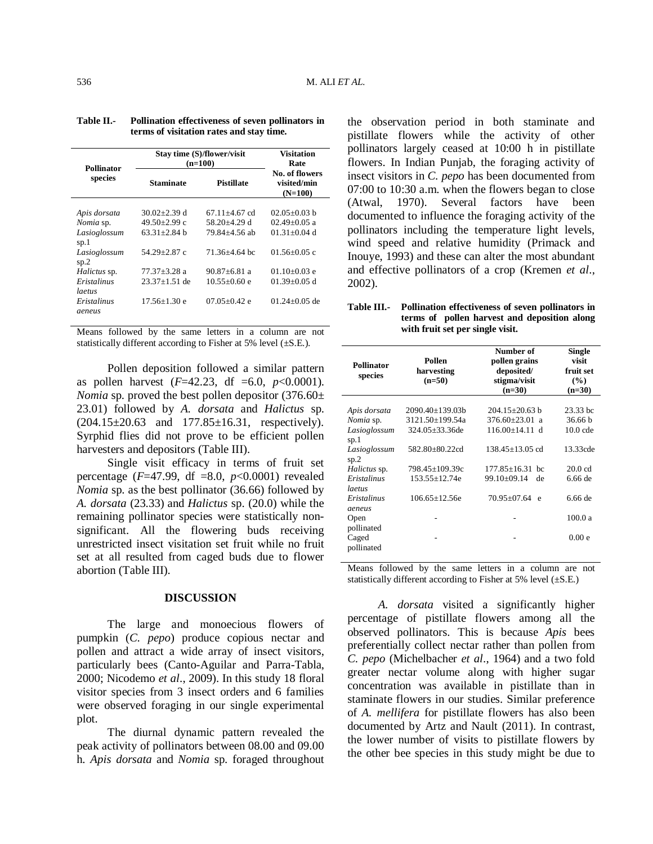| <b>Pollinator</b>         | Stay time (S)/flower/visit<br>$(n=100)$ | <b>Visitation</b><br>Rate             |                                            |  |
|---------------------------|-----------------------------------------|---------------------------------------|--------------------------------------------|--|
| species                   | <b>Staminate</b>                        | <b>Pistillate</b>                     | No. of flowers<br>visited/min<br>$(N=100)$ |  |
| Apis dorsata<br>Nomia sp. | $30.02 \pm 2.39$ d<br>49.50±2.99 c      | $67.11 + 4.67$ cd<br>$58.20 + 4.29$ d | $02.05 + 0.03$ b<br>$02.49 + 0.05$ a       |  |
| Lasioglossum<br>sp.1      | $63.31 + 2.84$ b                        | 79.84+4.56 ab                         | 01.31 $\pm$ 0.04 d                         |  |
| Lasioglossum<br>sp.2      | 54.29+2.87 c                            | 71.36+4.64 bc                         | $01.56 + 0.05$ c                           |  |
| Halictus sp.              | $77.37 + 3.28$ a                        | $90.87 + 6.81$ a                      | $01.10+0.03$ e                             |  |
| Eristalinus<br>laetus     | $23.37 + 1.51$ de                       | $10.55 + 0.60$ e                      | $01.39 + 0.05$ d                           |  |
| Eristalinus<br>aeneus     | $17.56 + 1.30e$                         | $07.05 + 0.42$ e                      | $01.24 + 0.05$ de                          |  |

| Table II. | Pollination effectiveness of seven pollinators in |
|-----------|---------------------------------------------------|
|           | terms of visitation rates and stay time.          |

Means followed by the same letters in a column are not statistically different according to Fisher at 5% level  $(\pm S.E.).$ 

Pollen deposition followed a similar pattern as pollen harvest  $(F=42.23, df = 6.0, p < 0.0001)$ . *Nomia* sp. proved the best pollen depositor (376.60± 23.01) followed by *A. dorsata* and *Halictus* sp.  $(204.15 \pm 20.63$  and  $177.85 \pm 16.31$ , respectively). Syrphid flies did not prove to be efficient pollen harvesters and depositors (Table III).

Single visit efficacy in terms of fruit set percentage (*F*=47.99, df =8.0, *p*<0.0001) revealed *Nomia* sp. as the best pollinator (36.66) followed by *A. dorsata* (23.33) and *Halictus* sp. (20.0) while the remaining pollinator species were statistically nonsignificant. All the flowering buds receiving unrestricted insect visitation set fruit while no fruit set at all resulted from caged buds due to flower abortion (Table III).

# **DISCUSSION**

The large and monoecious flowers of pumpkin (*C. pepo*) produce copious nectar and pollen and attract a wide array of insect visitors, particularly bees (Canto-Aguilar and Parra-Tabla, 2000; Nicodemo *et al*., 2009). In this study 18 floral visitor species from 3 insect orders and 6 families were observed foraging in our single experimental plot.

The diurnal dynamic pattern revealed the peak activity of pollinators between 08.00 and 09.00 h. *Apis dorsata* and *Nomia* sp. foraged throughout

the observation period in both staminate and pistillate flowers while the activity of other pollinators largely ceased at 10:00 h in pistillate flowers. In Indian Punjab, the foraging activity of insect visitors in *C. pepo* has been documented from 07:00 to 10:30 a.m. when the flowers began to close (Atwal, 1970). Several factors have been documented to influence the foraging activity of the pollinators including the temperature light levels, wind speed and relative humidity (Primack and Inouye, 1993) and these can alter the most abundant and effective pollinators of a crop (Kremen *et al*., 2002).

| Table III. Pollination effectiveness of seven pollinators in |  |  |  |  |
|--------------------------------------------------------------|--|--|--|--|
| terms of pollen harvest and deposition along                 |  |  |  |  |
| with fruit set per single visit.                             |  |  |  |  |

| <b>Pollinator</b><br>species                                                                                                                       | Pollen<br>harvesting<br>$(n=50)$                                                                                                                    | Number of<br>pollen grains<br>deposited/<br>stigma/visit<br>$(n=30)$                                                                                                            | <b>Single</b><br>visit<br>fruit set<br>(%)<br>$(n=30)$                           |
|----------------------------------------------------------------------------------------------------------------------------------------------------|-----------------------------------------------------------------------------------------------------------------------------------------------------|---------------------------------------------------------------------------------------------------------------------------------------------------------------------------------|----------------------------------------------------------------------------------|
| Apis dorsata<br>Nomia sp.<br>Lasioglossum<br>sp.1<br>Lasioglossum<br>sp.2<br><i>Halictus</i> sp.<br>Eristalinus<br>laetus<br>Eristalinus<br>aeneus | $2090.40 \pm 139.03b$<br>3121.50±199.54a<br>$324.05 \pm 33.36$ de<br>582.80±80.22cd<br>798.45±109.39c<br>$153.55 \pm 12.74e$<br>$106.65 \pm 12.56e$ | $204.15 \pm 20.63$ b<br>$376.60 \pm 23.01$<br>$\overline{a}$<br>$116.00 \pm 14.11$ d<br>$138.45 + 13.05$ cd<br>$177.85 + 16.31$<br>hc.<br>99.10±09.14<br>de<br>70.95±07.64<br>e | 23.33 bc<br>36.66 b<br>$10.0$ cde<br>13.33cde<br>$20.0$ cd<br>6.66 de<br>6.66 de |
| Open<br>pollinated<br>Caged<br>pollinated                                                                                                          |                                                                                                                                                     |                                                                                                                                                                                 | 100.0a<br>0.00e                                                                  |

Means followed by the same letters in a column are not statistically different according to Fisher at 5% level  $(\pm S.E.)$ 

*A. dorsata* visited a significantly higher percentage of pistillate flowers among all the observed pollinators. This is because *Apis* bees preferentially collect nectar rather than pollen from *C. pepo* (Michelbacher *et al*., 1964) and a two fold greater nectar volume along with higher sugar concentration was available in pistillate than in staminate flowers in our studies. Similar preference of *A. mellifera* for pistillate flowers has also been documented by Artz and Nault (2011). In contrast, the lower number of visits to pistillate flowers by the other bee species in this study might be due to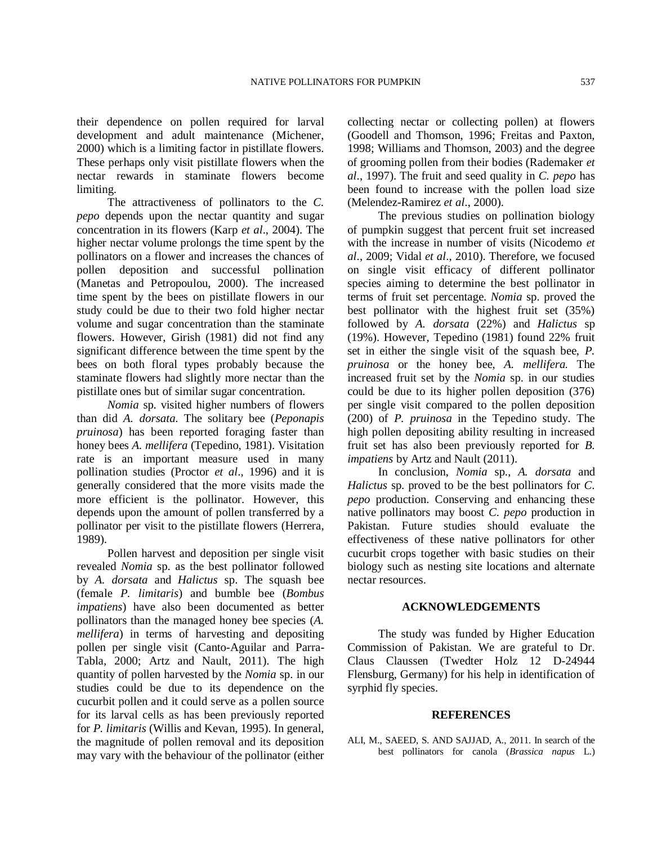their dependence on pollen required for larval development and adult maintenance (Michener, 2000) which is a limiting factor in pistillate flowers. These perhaps only visit pistillate flowers when the nectar rewards in staminate flowers become limiting.

The attractiveness of pollinators to the *C. pepo* depends upon the nectar quantity and sugar concentration in its flowers (Karp *et al*., 2004). The higher nectar volume prolongs the time spent by the pollinators on a flower and increases the chances of pollen deposition and successful pollination (Manetas and Petropoulou, 2000). The increased time spent by the bees on pistillate flowers in our study could be due to their two fold higher nectar volume and sugar concentration than the staminate flowers. However, Girish (1981) did not find any significant difference between the time spent by the bees on both floral types probably because the staminate flowers had slightly more nectar than the pistillate ones but of similar sugar concentration.

*Nomia* sp. visited higher numbers of flowers than did *A. dorsata*. The solitary bee (*Peponapis pruinosa*) has been reported foraging faster than honey bees *A. mellifera* (Tepedino, 1981). Visitation rate is an important measure used in many pollination studies (Proctor *et al*., 1996) and it is generally considered that the more visits made the more efficient is the pollinator. However, this depends upon the amount of pollen transferred by a pollinator per visit to the pistillate flowers (Herrera, 1989).

Pollen harvest and deposition per single visit revealed *Nomia* sp. as the best pollinator followed by *A. dorsata* and *Halictus* sp. The squash bee (female *P. limitaris*) and bumble bee (*Bombus impatiens*) have also been documented as better pollinators than the managed honey bee species (*A. mellifera*) in terms of harvesting and depositing pollen per single visit (Canto-Aguilar and Parra-Tabla, 2000; Artz and Nault, 2011). The high quantity of pollen harvested by the *Nomia* sp. in our studies could be due to its dependence on the cucurbit pollen and it could serve as a pollen source for its larval cells as has been previously reported for *P. limitaris* (Willis and Kevan, 1995). In general, the magnitude of pollen removal and its deposition may vary with the behaviour of the pollinator (either collecting nectar or collecting pollen) at flowers (Goodell and Thomson, 1996; Freitas and Paxton, 1998; Williams and Thomson, 2003) and the degree of grooming pollen from their bodies (Rademaker *et al*., 1997). The fruit and seed quality in *C. pepo* has been found to increase with the pollen load size (Melendez-Ramirez *et al*., 2000).

The previous studies on pollination biology of pumpkin suggest that percent fruit set increased with the increase in number of visits (Nicodemo *et al*., 2009; Vidal *et al*., 2010). Therefore, we focused on single visit efficacy of different pollinator species aiming to determine the best pollinator in terms of fruit set percentage. *Nomia* sp. proved the best pollinator with the highest fruit set (35%) followed by *A. dorsata* (22%) and *Halictus* sp (19%). However, Tepedino (1981) found 22% fruit set in either the single visit of the squash bee, *P. pruinosa* or the honey bee, *A. mellifera.* The increased fruit set by the *Nomia* sp. in our studies could be due to its higher pollen deposition (376) per single visit compared to the pollen deposition (200) of *P. pruinosa* in the Tepedino study. The high pollen depositing ability resulting in increased fruit set has also been previously reported for *B. impatiens* by Artz and Nault (2011).

In conclusion, *Nomia* sp., *A. dorsata* and *Halictus* sp. proved to be the best pollinators for *C. pepo* production. Conserving and enhancing these native pollinators may boost *C. pepo* production in Pakistan. Future studies should evaluate the effectiveness of these native pollinators for other cucurbit crops together with basic studies on their biology such as nesting site locations and alternate nectar resources.

# **ACKNOWLEDGEMENTS**

The study was funded by Higher Education Commission of Pakistan. We are grateful to Dr. Claus Claussen (Twedter Holz 12 D-24944 Flensburg, Germany) for his help in identification of syrphid fly species.

# **REFERENCES**

ALI, M., SAEED, S. AND SAJJAD, A., 2011. In search of the best pollinators for canola (*Brassica napus* L.)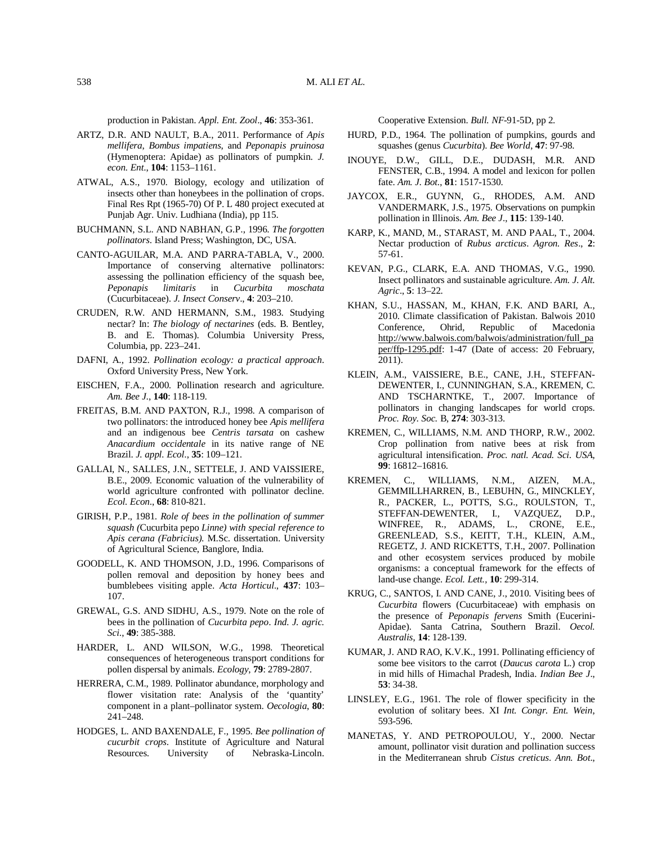production in Pakistan. *Appl. Ent. Zool*., **46**: 353-361.

- ARTZ, D.R. AND NAULT, B.A., 2011. Performance of *Apis mellifera*, *Bombus impatiens*, and *Peponapis pruinosa* (Hymenoptera: Apidae) as pollinators of pumpkin. *J. econ. Ent*., **104**: 1153–1161.
- ATWAL, A.S., 1970. Biology, ecology and utilization of insects other than honeybees in the pollination of crops. Final Res Rpt (1965-70) Of P. L 480 project executed at Punjab Agr. Univ. Ludhiana (India), pp 115.
- BUCHMANN, S.L. AND NABHAN, G.P., 1996. *The forgotten pollinators*. Island Press; Washington, DC, USA.
- CANTO-AGUILAR, M.A. AND PARRA-TABLA, V., 2000. Importance of conserving alternative pollinators: assessing the pollination efficiency of the squash bee,<br>Peponapis limitaris in Cucurbita moschata *Peponapis limitaris* in *Cucurbita moschata* (Cucurbitaceae). *J. Insect Conserv*., **4**: 203–210.
- CRUDEN, R.W. AND HERMANN, S.M., 1983. Studying nectar? In: *The biology of nectarines* (eds. B. Bentley, B. and E. Thomas). Columbia University Press, Columbia, pp. 223–241.
- DAFNI, A., 1992. *Pollination ecology: a practical approach*. Oxford University Press, New York.
- EISCHEN, F.A., 2000. Pollination research and agriculture. *Am. Bee J*., **140**: 118-119.
- FREITAS, B.M. AND PAXTON, R.J., 1998. A comparison of two pollinators: the introduced honey bee *Apis mellifera* and an indigenous bee *Centris tarsata* on cashew *Anacardium occidentale* in its native range of NE Brazil. *J. appl. Ecol*., **35**: 109–121.
- GALLAI, N., SALLES, J.N., SETTELE, J. AND VAISSIERE, B.E., 2009. Economic valuation of the vulnerability of world agriculture confronted with pollinator decline. *Ecol. Econ*., **68**: 810-821.
- GIRISH, P.P., 1981. *Role of bees in the pollination of summer squash (*Cucurbita pepo *Linne) with special reference to Apis cerana (Fabricius)*. M.Sc. dissertation. University of Agricultural Science, Banglore, India.
- GOODELL, K. AND THOMSON, J.D., 1996. Comparisons of pollen removal and deposition by honey bees and bumblebees visiting apple. *Acta Horticul*., **437**: 103– 107.
- GREWAL, G.S. AND SIDHU, A.S., 1979. Note on the role of bees in the pollination of *Cucurbita pepo*. *Ind. J. agric. Sci*., **49**: 385-388.
- HARDER, L. AND WILSON, W.G., 1998. Theoretical consequences of heterogeneous transport conditions for pollen dispersal by animals. *Ecology*, **79**: 2789-2807.
- HERRERA, C.M., 1989. Pollinator abundance, morphology and flower visitation rate: Analysis of the 'quantity' component in a plant–pollinator system. *Oecologia*, **80**: 241–248.
- HODGES, L. AND BAXENDALE, F., 1995. *Bee pollination of cucurbit crops*. Institute of Agriculture and Natural Resources. University of Nebraska-Lincoln.

Cooperative Extension. *Bull. NF*-91-5D, pp 2.

- HURD, P.D., 1964. The pollination of pumpkins, gourds and squashes (genus *Cucurbita*). *Bee World*, **47**: 97-98.
- INOUYE, D.W., GILL, D.E., DUDASH, M.R. AND FENSTER, C.B., 1994. A model and lexicon for pollen fate. *Am. J. Bot*., **81**: 1517-1530.
- JAYCOX, E.R., GUYNN, G., RHODES, A.M. AND VANDERMARK, J.S., 1975. Observations on pumpkin pollination in Illinois. *Am. Bee J*., **115**: 139-140.
- KARP, K., MAND, M., STARAST, M. AND PAAL, T., 2004. Nectar production of *Rubus arcticus*. *Agron. Res*., **2**: 57-61.
- KEVAN, P.G., CLARK, E.A. AND THOMAS, V.G., 1990. Insect pollinators and sustainable agriculture. *Am. J. Alt. Agric*., **5**: 13–22.
- KHAN, S.U., HASSAN, M., KHAN, F.K. AND BARI, A., 2010. Climate classification of Pakistan. Balwois 2010 Conference, Ohrid, Republic of Macedonia http://www.balwois.com/balwois/administration/full\_pa per/ffp-1295.pdf: 1-47 (Date of access: 20 February, 2011).
- KLEIN, A.M., VAISSIERE, B.E., CANE, J.H., STEFFAN-DEWENTER, I., CUNNINGHAN, S.A., KREMEN, C. AND TSCHARNTKE, T., 2007. Importance of pollinators in changing landscapes for world crops. *Proc. Roy. Soc.* B, **274**: 303-313.
- KREMEN, C., WILLIAMS, N.M. AND THORP, R.W., 2002. Crop pollination from native bees at risk from agricultural intensification. *Proc. natl. Acad. Sci. USA*, **99**: 16812–16816.
- KREMEN, C., WILLIAMS, N.M., AIZEN, M.A., GEMMILLHARREN, B., LEBUHN, G., MINCKLEY, R., PACKER, L., POTTS, S.G., ROULSTON, T., STEFFAN-DEWENTER, I., VAZQUEZ, D.P., WINFREE, R., ADAMS, L., CRONE, E.E., GREENLEAD, S.S., KEITT, T.H., KLEIN, A.M., REGETZ, J. AND RICKETTS, T.H., 2007. Pollination and other ecosystem services produced by mobile organisms: a conceptual framework for the effects of land-use change. *Ecol. Lett.,* **10**: 299-314.
- KRUG, C., SANTOS, I. AND CANE, J., 2010. Visiting bees of *Cucurbita* flowers (Cucurbitaceae) with emphasis on the presence of *Peponapis fervens* Smith (Eucerini-Apidae). Santa Catrina, Southern Brazil. *Oecol. Australis*, **14**: 128-139.
- KUMAR, J. AND RAO, K.V.K., 1991. Pollinating efficiency of some bee visitors to the carrot (*Daucus carota* L.) crop in mid hills of Himachal Pradesh, India. *Indian Bee J*., **53**: 34-38.
- LINSLEY, E.G., 1961. The role of flower specificity in the evolution of solitary bees. XI *Int. Congr. Ent. Wein*, 593-596.
- MANETAS, Y. AND PETROPOULOU, Y., 2000. Nectar amount, pollinator visit duration and pollination success in the Mediterranean shrub *Cistus creticus*. *Ann. Bot*.,